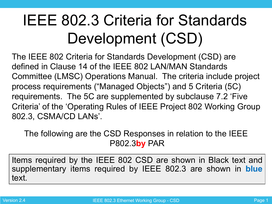# IEEE 802.3 Criteria for Standards Development (CSD)

The IEEE 802 Criteria for Standards Development (CSD) are defined in Clause 14 of the IEEE 802 LAN/MAN Standards Committee (LMSC) Operations Manual. The criteria include project process requirements ("Managed Objects") and 5 Criteria (5C) requirements. The 5C are supplemented by subclause 7.2 'Five Criteria' of the 'Operating Rules of IEEE Project 802 Working Group 802.3, CSMA/CD LANs'.

The following are the CSD Responses in relation to the IEEE P802.3**by** PAR

Items required by the IEEE 802 CSD are shown in Black text and supplementary items required by IEEE 802.3 are shown in **blue** text.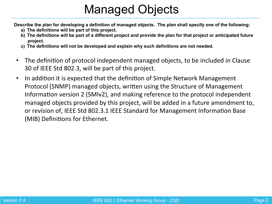# Managed Objects

**Describe the plan for developing a definition of managed objects. The plan shall specify one of the following:** 

- **a) The definitions will be part of this project.**
- **b) The definitions will be part of a different project and provide the plan for that project or anticipated future project.**
- **c) The definitions will not be developed and explain why such definitions are not needed.**
- The definition of protocol independent managed objects, to be included in Clause 30 of IEEE Std 802.3, will be part of this project.
- In addition it is expected that the definition of Simple Network Management Protocol (SNMP) managed objects, written using the Structure of Management Information version 2 (SMIv2), and making reference to the protocol independent managed objects provided by this project, will be added in a future amendment to, or revision of, IEEE Std 802.3.1 IEEE Standard for Management Information Base (MIB) Definitions for Ethernet.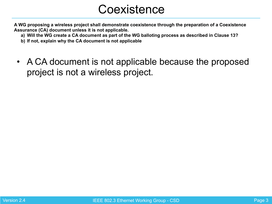#### **Coexistence**

**A WG proposing a wireless project shall demonstrate coexistence through the preparation of a Coexistence Assurance (CA) document unless it is not applicable.** 

- **a) Will the WG create a CA document as part of the WG balloting process as described in Clause 13?**
- **b) If not, explain why the CA document is not applicable**
- A CA document is not applicable because the proposed project is not a wireless project.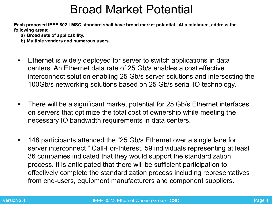#### Broad Market Potential

**Each proposed IEEE 802 LMSC standard shall have broad market potential. At a minimum, address the following areas:** 

- **a) Broad sets of applicability.**
- **b) Multiple vendors and numerous users.**
- Ethernet is widely deployed for server to switch applications in data centers. An Ethernet data rate of 25 Gb/s enables a cost effective interconnect solution enabling 25 Gb/s server solutions and intersecting the 100Gb/s networking solutions based on 25 Gb/s serial IO technology.
- There will be a significant market potential for 25 Gb/s Ethernet interfaces on servers that optimize the total cost of ownership while meeting the necessary IO bandwidth requirements in data centers.
- 148 participants attended the "25 Gb/s Ethernet over a single lane for server interconnect " Call-For-Interest. 59 individuals representing at least 36 companies indicated that they would support the standardization process. It is anticipated that there will be sufficient participation to effectively complete the standardization process including representatives from end-users, equipment manufacturers and component suppliers.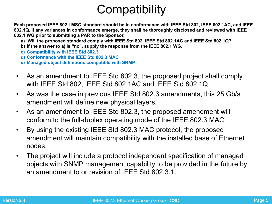# **Compatibility**

**Each proposed IEEE 802 LMSC standard should be in conformance with IEEE Std 802, IEEE 802.1AC, and IEEE 802.1Q. If any variances in conformance emerge, they shall be thoroughly disclosed and reviewed with IEEE 802.1 WG prior to submitting a PAR to the Sponsor.** 

- **a) Will the proposed standard comply with IEEE Std 802, IEEE Std 802.1AC and IEEE Std 802.1Q?**
- **b) If the answer to a) is "no", supply the response from the IEEE 802.1 WG.**
- **c) Compatibility with IEEE Std 802.3**
- **d) Conformance with the IEEE Std 802.3 MAC**
- **e) Managed object definitions compatible with SNMP**
- As an amendment to IEEE Std 802.3, the proposed project shall comply with IEEE Std 802, IEEE Std 802.1AC and IEEE Std 802.1Q.
- As was the case in previous IEEE Std 802.3 amendments, this 25 Gb/s amendment will define new physical layers.
- As an amendment to IEEE Std 802.3, the proposed amendment will conform to the full-duplex operating mode of the IEEE 802.3 MAC.
- By using the existing IEEE Std 802.3 MAC protocol, the proposed amendment will maintain compatibility with the installed base of Ethernet nodes.
- The project will include a protocol independent specification of managed objects with SNMP management capability to be provided in the future by an amendment to or revision of IEEE Std 802.3.1.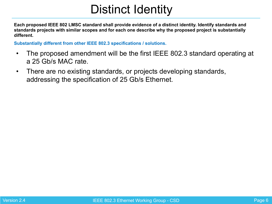### Distinct Identity

**Each proposed IEEE 802 LMSC standard shall provide evidence of a distinct identity. Identify standards and standards projects with similar scopes and for each one describe why the proposed project is substantially different.** 

**Substantially different from other IEEE 802.3 specifications / solutions.** 

- The proposed amendment will be the first IEEE 802.3 standard operating at a 25 Gb/s MAC rate.
- There are no existing standards, or projects developing standards, addressing the specification of 25 Gb/s Ethernet.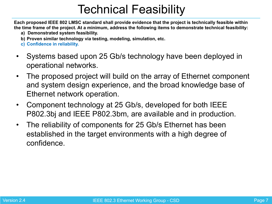### Technical Feasibility

**Each proposed IEEE 802 LMSC standard shall provide evidence that the project is technically feasible within the time frame of the project. At a minimum, address the following items to demonstrate technical feasibility:** 

- **a) Demonstrated system feasibility.**
- **b) Proven similar technology via testing, modeling, simulation, etc.**
- **c) Confidence in reliability.**
- Systems based upon 25 Gb/s technology have been deployed in operational networks.
- The proposed project will build on the array of Ethernet component and system design experience, and the broad knowledge base of Ethernet network operation.
- Component technology at 25 Gb/s, developed for both IEEE P802.3bj and IEEE P802.3bm, are available and in production.
- The reliability of components for 25 Gb/s Ethernet has been established in the target environments with a high degree of confidence.